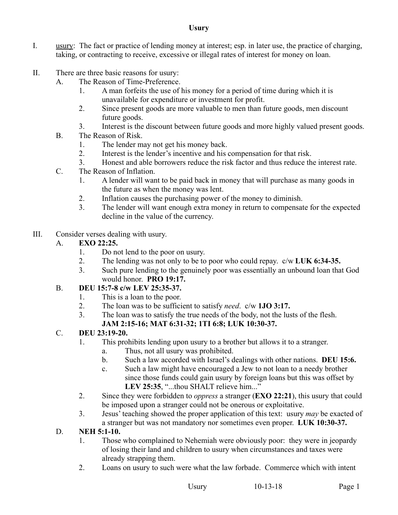#### **Usury**

- I. usury: The fact or practice of lending money at interest; esp. in later use, the practice of charging, taking, or contracting to receive, excessive or illegal rates of interest for money on loan.
- II. There are three basic reasons for usury:
	- A. The Reason of Time-Preference.
		- 1. A man forfeits the use of his money for a period of time during which it is unavailable for expenditure or investment for profit.
		- 2. Since present goods are more valuable to men than future goods, men discount future goods.
		- 3. Interest is the discount between future goods and more highly valued present goods.
	- B. The Reason of Risk.
		- 1. The lender may not get his money back.
		- 2. Interest is the lender's incentive and his compensation for that risk.
		- 3. Honest and able borrowers reduce the risk factor and thus reduce the interest rate.
	- C. The Reason of Inflation.
		- 1. A lender will want to be paid back in money that will purchase as many goods in the future as when the money was lent.
		- 2. Inflation causes the purchasing power of the money to diminish.
		- 3. The lender will want enough extra money in return to compensate for the expected decline in the value of the currency.
- III. Consider verses dealing with usury.

#### A. **EXO 22:25.**

- 1. Do not lend to the poor on usury.
- 2. The lending was not only to be to poor who could repay. c/w **LUK 6:34-35.**
- 3. Such pure lending to the genuinely poor was essentially an unbound loan that God would honor. **PRO 19:17.**
- B. **DEU 15:7-8 c/w LEV 25:35-37.**
	- 1. This is a loan to the poor.
	- 2. The loan was to be sufficient to satisfy *need*. c/w **1JO 3:17.**
	- 3. The loan was to satisfy the true needs of the body, not the lusts of the flesh. **JAM 2:15-16; MAT 6:31-32; 1TI 6:8; LUK 10:30-37.**

#### C. **DEU 23:19-20.**

- 1. This prohibits lending upon usury to a brother but allows it to a stranger.
	- a. Thus, not all usury was prohibited.
	- b. Such a law accorded with Israel's dealings with other nations. **DEU 15:6.**
	- c. Such a law might have encouraged a Jew to not loan to a needy brother since those funds could gain usury by foreign loans but this was offset by LEV 25:35, "...thou SHALT relieve him..."
- 2. Since they were forbidden to *oppress* a stranger (**EXO 22:21**), this usury that could be imposed upon a stranger could not be onerous or exploitative.
- 3. Jesus' teaching showed the proper application of this text: usury *may* be exacted of a stranger but was not mandatory nor sometimes even proper. **LUK 10:30-37.**
- D. **NEH 5:1-10.**
	- 1. Those who complained to Nehemiah were obviously poor: they were in jeopardy of losing their land and children to usury when circumstances and taxes were already strapping them.
	- 2. Loans on usury to such were what the law forbade. Commerce which with intent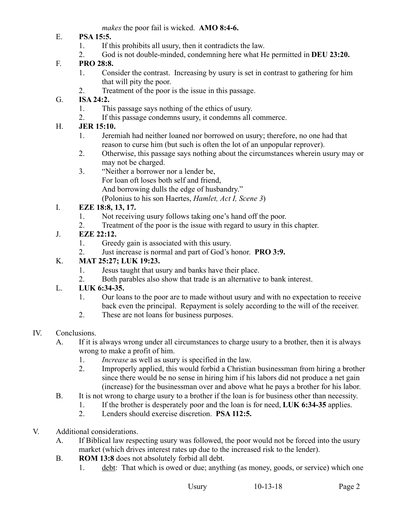*makes* the poor fail is wicked. **AMO 8:4-6.** 

- E. **PSA 15:5.**
	- 1. If this prohibits all usury, then it contradicts the law.
	- 2. God is not double-minded, condemning here what He permitted in **DEU 23:20.**

## F. **PRO 28:8.**

- 1. Consider the contrast. Increasing by usury is set in contrast to gathering for him that will pity the poor.
- 2. Treatment of the poor is the issue in this passage.

### G. **ISA 24:2.**

- 1. This passage says nothing of the ethics of usury.
- 2. If this passage condemns usury, it condemns all commerce.

### H. **JER 15:10.**

- 1. Jeremiah had neither loaned nor borrowed on usury; therefore, no one had that reason to curse him (but such is often the lot of an unpopular reprover).
- 2. Otherwise, this passage says nothing about the circumstances wherein usury may or may not be charged.

3. "Neither a borrower nor a lender be, For loan oft loses both self and friend, And borrowing dulls the edge of husbandry." (Polonius to his son Haertes, *Hamlet, Act I, Scene 3*)

## I. **EZE 18:8, 13, 17.**

- 1. Not receiving usury follows taking one's hand off the poor.
- 2. Treatment of the poor is the issue with regard to usury in this chapter.

## J. **EZE 22:12.**

- 1. Greedy gain is associated with this usury.
- 2. Just increase is normal and part of God's honor. **PRO 3:9.**

### K. **MAT 25:27; LUK 19:23.**

- 1. Jesus taught that usury and banks have their place.
- 2. Both parables also show that trade is an alternative to bank interest.

# L. **LUK 6:34-35.**

- 1. Our loans to the poor are to made without usury and with no expectation to receive back even the principal. Repayment is solely according to the will of the receiver.
- 2. These are not loans for business purposes.

#### IV. Conclusions.

- A. If it is always wrong under all circumstances to charge usury to a brother, then it is always wrong to make a profit of him.
	- 1. *Increase* as well as usury is specified in the law.
	- 2. Improperly applied, this would forbid a Christian businessman from hiring a brother since there would be no sense in hiring him if his labors did not produce a net gain (increase) for the businessman over and above what he pays a brother for his labor.
- B. It is not wrong to charge usury to a brother if the loan is for business other than necessity.
	- 1. If the brother is desperately poor and the loan is for need, **LUK 6:34-35** applies.
		- 2. Lenders should exercise discretion. **PSA 112:5.**
- V. Additional considerations.
	- A. If Biblical law respecting usury was followed, the poor would not be forced into the usury market (which drives interest rates up due to the increased risk to the lender).
	- B. **ROM 13:8** does not absolutely forbid all debt.
		- 1. debt: That which is owed or due; anything (as money, goods, or service) which one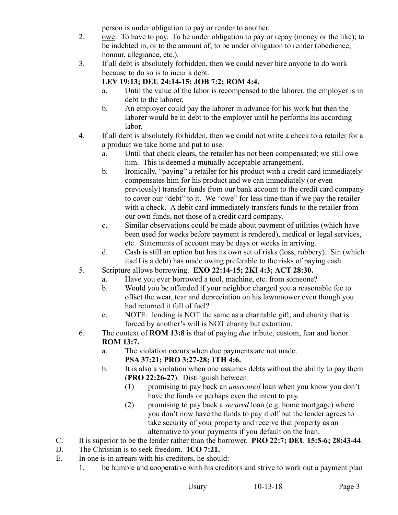person is under obligation to pay or render to another.

- 2. owe: To have to pay. To be under obligation to pay or repay (money or the like); to be indebted in, or to the amount of; to be under obligation to render (obedience, honour, allegiance, etc.).
- 3. If all debt is absolutely forbidden, then we could never hire anyone to do work because to do so is to incur a debt.

#### **LEV 19:13; DEU 24:14-15; JOB 7:2; ROM 4:4.**

- a. Until the value of the labor is recompensed to the laborer, the employer is in debt to the laborer.
- b. An employer could pay the laborer in advance for his work but then the laborer would be in debt to the employer until he performs his according labor.
- 4. If all debt is absolutely forbidden, then we could not write a check to a retailer for a a product we take home and put to use.
	- a. Until that check clears, the retailer has not been compensated; we still owe him. This is deemed a mutually acceptable arrangement.
	- b. Ironically, "paying" a retailer for his product with a credit card immediately compensates him for his product and we can immediately (or even previously) transfer funds from our bank account to the credit card company to cover our "debt" to it. We "owe" for less time than if we pay the retailer with a check. A debit card immediately transfers funds to the retailer from our own funds, not those of a credit card company.
	- c. Similar observations could be made about payment of utilities (which have been used for weeks before payment is rendered), medical or legal services, etc. Statements of account may be days or weeks in arriving.
	- d. Cash is still an option but has its own set of risks (loss, robbery). Sin (which itself is a debt) has made owing preferable to the risks of paying cash.
- 5. Scripture allows borrowing. **EXO 22:14-15; 2KI 4:3; ACT 28:30.**
	- a. Have you ever borrowed a tool, machine, etc. from someone?
	- b. Would you be offended if your neighbor charged you a reasonable fee to offset the wear, tear and depreciation on his lawnmower even though you had returned it full of fuel?
	- c. NOTE: lending is NOT the same as a charitable gift, and charity that is forced by another's will is NOT charity but extortion.
- 6. The context of **ROM 13:8** is that of paying *due* tribute, custom, fear and honor. **ROM 13:7.**
	- a. The violation occurs when due payments are not made. **PSA 37:21; PRO 3:27-28; 1TH 4:6.**
	- b. It is also a violation when one assumes debts without the ability to pay them (**PRO 22:26-27**). Distinguish between:
		- (1) promising to pay back an *unsecured* loan when you know you don't have the funds or perhaps even the intent to pay.
		- (2) promising to pay back a *secured* loan (e.g. home mortgage) where you don't now have the funds to pay it off but the lender agrees to take security of your property and receive that property as an alternative to your payments if you default on the loan.
- C. It is superior to be the lender rather than the borrower. **PRO 22:7; DEU 15:5-6; 28:43-44**.
- D. The Christian is to seek freedom. **1CO 7:21.**
- E. In one is in arrears with his creditors, he should:
	- 1. be humble and cooperative with his creditors and strive to work out a payment plan